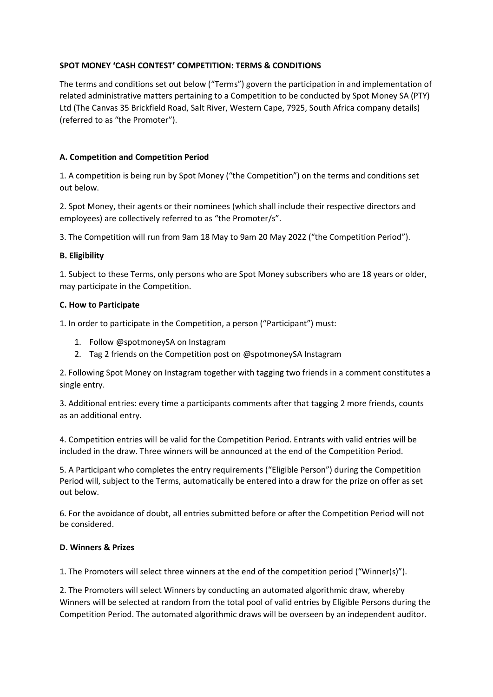# **SPOT MONEY 'CASH CONTEST' COMPETITION: TERMS & CONDITIONS**

The terms and conditions set out below ("Terms") govern the participation in and implementation of related administrative matters pertaining to a Competition to be conducted by Spot Money SA (PTY) Ltd (The Canvas 35 Brickfield Road, Salt River, Western Cape, 7925, South Africa company details) (referred to as "the Promoter").

# **A. Competition and Competition Period**

1. A competition is being run by Spot Money ("the Competition") on the terms and conditions set out below.

2. Spot Money, their agents or their nominees (which shall include their respective directors and employees) are collectively referred to as "the Promoter/s".

3. The Competition will run from 9am 18 May to 9am 20 May 2022 ("the Competition Period").

### **B. Eligibility**

1. Subject to these Terms, only persons who are Spot Money subscribers who are 18 years or older, may participate in the Competition.

### **C. How to Participate**

1. In order to participate in the Competition, a person ("Participant") must:

- 1. Follow @spotmoneySA on Instagram
- 2. Tag 2 friends on the Competition post on @spotmoneySA Instagram

2. Following Spot Money on Instagram together with tagging two friends in a comment constitutes a single entry.

3. Additional entries: every time a participants comments after that tagging 2 more friends, counts as an additional entry.

4. Competition entries will be valid for the Competition Period. Entrants with valid entries will be included in the draw. Three winners will be announced at the end of the Competition Period.

5. A Participant who completes the entry requirements ("Eligible Person") during the Competition Period will, subject to the Terms, automatically be entered into a draw for the prize on offer as set out below.

6. For the avoidance of doubt, all entries submitted before or after the Competition Period will not be considered.

# **D. Winners & Prizes**

1. The Promoters will select three winners at the end of the competition period ("Winner(s)").

2. The Promoters will select Winners by conducting an automated algorithmic draw, whereby Winners will be selected at random from the total pool of valid entries by Eligible Persons during the Competition Period. The automated algorithmic draws will be overseen by an independent auditor.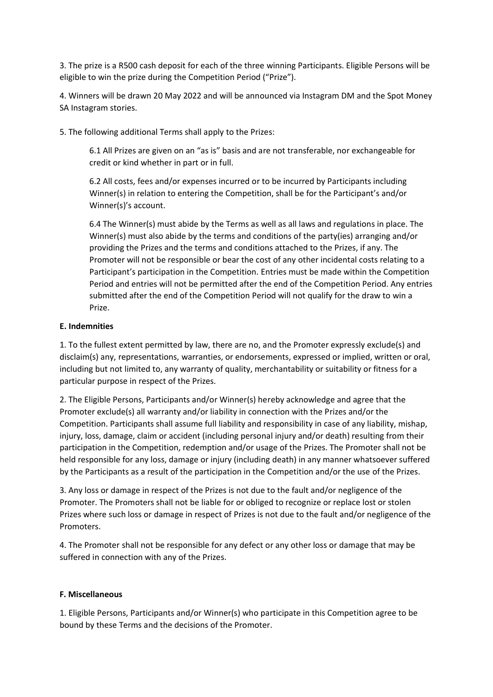3. The prize is a R500 cash deposit for each of the three winning Participants. Eligible Persons will be eligible to win the prize during the Competition Period ("Prize").

4. Winners will be drawn 20 May 2022 and will be announced via Instagram DM and the Spot Money SA Instagram stories.

5. The following additional Terms shall apply to the Prizes:

6.1 All Prizes are given on an "as is" basis and are not transferable, nor exchangeable for credit or kind whether in part or in full.

6.2 All costs, fees and/or expenses incurred or to be incurred by Participants including Winner(s) in relation to entering the Competition, shall be for the Participant's and/or Winner(s)'s account.

6.4 The Winner(s) must abide by the Terms as well as all laws and regulations in place. The Winner(s) must also abide by the terms and conditions of the party(ies) arranging and/or providing the Prizes and the terms and conditions attached to the Prizes, if any. The Promoter will not be responsible or bear the cost of any other incidental costs relating to a Participant's participation in the Competition. Entries must be made within the Competition Period and entries will not be permitted after the end of the Competition Period. Any entries submitted after the end of the Competition Period will not qualify for the draw to win a Prize.

### **E. Indemnities**

1. To the fullest extent permitted by law, there are no, and the Promoter expressly exclude(s) and disclaim(s) any, representations, warranties, or endorsements, expressed or implied, written or oral, including but not limited to, any warranty of quality, merchantability or suitability or fitness for a particular purpose in respect of the Prizes.

2. The Eligible Persons, Participants and/or Winner(s) hereby acknowledge and agree that the Promoter exclude(s) all warranty and/or liability in connection with the Prizes and/or the Competition. Participants shall assume full liability and responsibility in case of any liability, mishap, injury, loss, damage, claim or accident (including personal injury and/or death) resulting from their participation in the Competition, redemption and/or usage of the Prizes. The Promoter shall not be held responsible for any loss, damage or injury (including death) in any manner whatsoever suffered by the Participants as a result of the participation in the Competition and/or the use of the Prizes.

3. Any loss or damage in respect of the Prizes is not due to the fault and/or negligence of the Promoter. The Promoters shall not be liable for or obliged to recognize or replace lost or stolen Prizes where such loss or damage in respect of Prizes is not due to the fault and/or negligence of the Promoters.

4. The Promoter shall not be responsible for any defect or any other loss or damage that may be suffered in connection with any of the Prizes.

#### **F. Miscellaneous**

1. Eligible Persons, Participants and/or Winner(s) who participate in this Competition agree to be bound by these Terms and the decisions of the Promoter.